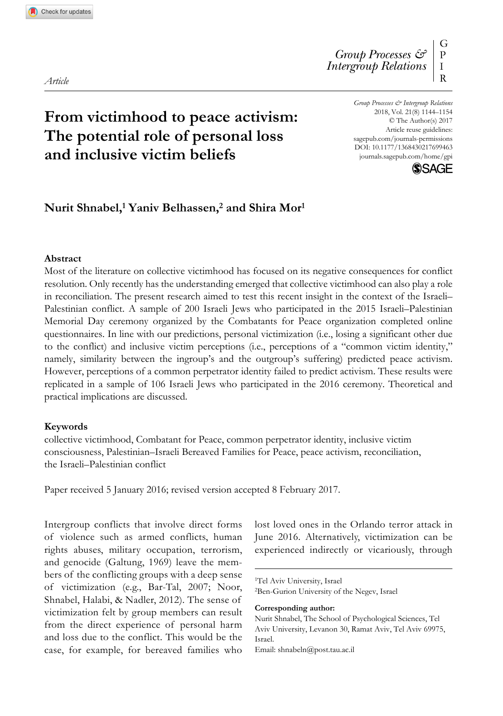*Article*

# **From victimhood to peace activism: The potential role of personal loss and inclusive victim beliefs**

https://doi.10.1177/1368430217699463 *Group Processes & Intergroup Relations* 2018, Vol. 21(8) 1144–1154 © The Author(s) 2017 Article reuse guidelines: [sagepub.com/journals-permissions](https://uk.sagepub.com/en-gb/journals-permissions) journals.sagepub.com/home/gpi



# **Nurit Shnabel,1 Yaniv Belhassen,2 and Shira Mor1**

#### **Abstract**

Most of the literature on collective victimhood has focused on its negative consequences for conflict resolution. Only recently has the understanding emerged that collective victimhood can also play a role in reconciliation. The present research aimed to test this recent insight in the context of the Israeli– Palestinian conflict. A sample of 200 Israeli Jews who participated in the 2015 Israeli–Palestinian Memorial Day ceremony organized by the Combatants for Peace organization completed online questionnaires. In line with our predictions, personal victimization (i.e., losing a significant other due to the conflict) and inclusive victim perceptions (i.e., perceptions of a "common victim identity," namely, similarity between the ingroup's and the outgroup's suffering) predicted peace activism. However, perceptions of a common perpetrator identity failed to predict activism. These results were replicated in a sample of 106 Israeli Jews who participated in the 2016 ceremony. Theoretical and practical implications are discussed.

#### **Keywords**

collective victimhood, Combatant for Peace, common perpetrator identity, inclusive victim consciousness, Palestinian–Israeli Bereaved Families for Peace, peace activism, reconciliation, the Israeli–Palestinian conflict

Paper received 5 January 2016; revised version accepted 8 February 2017.

Intergroup conflicts that involve direct forms of violence such as armed conflicts, human rights abuses, military occupation, terrorism, and genocide (Galtung, 1969) leave the members of the conflicting groups with a deep sense of victimization (e.g., Bar-Tal, 2007; Noor, Shnabel, Halabi, & Nadler, 2012). The sense of victimization felt by group members can result from the direct experience of personal harm and loss due to the conflict. This would be the case, for example, for bereaved families who

lost loved ones in the Orlando terror attack in June 2016. Alternatively, victimization can be experienced indirectly or vicariously, through

<sup>1</sup>Tel Aviv University, Israel

2Ben-Gurion University of the Negev, Israel

**Corresponding author:**

Nurit Shnabel, The School of Psychological Sciences, Tel Aviv University, Levanon 30, Ramat Aviv, Tel Aviv 69975, Israel.

Email: [shnabeln@post.tau.ac.il](mailto:shnabeln@post.tau.ac.il)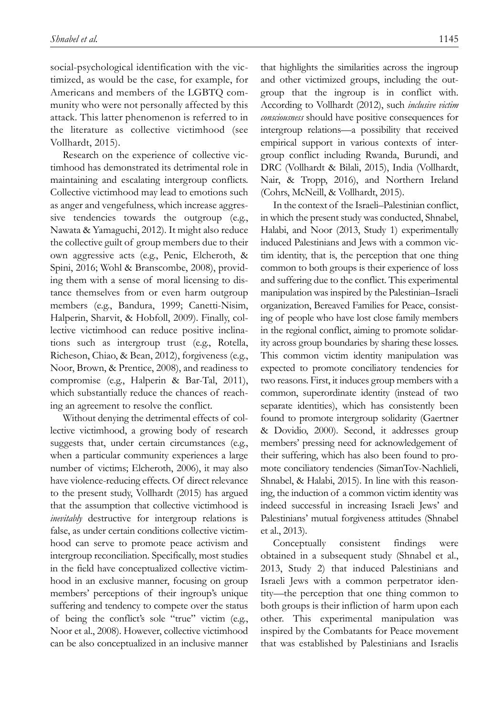social-psychological identification with the victimized, as would be the case, for example, for Americans and members of the LGBTQ community who were not personally affected by this attack. This latter phenomenon is referred to in the literature as collective victimhood (see Vollhardt, 2015).

Research on the experience of collective victimhood has demonstrated its detrimental role in maintaining and escalating intergroup conflicts. Collective victimhood may lead to emotions such as anger and vengefulness, which increase aggressive tendencies towards the outgroup (e.g., Nawata & Yamaguchi, 2012). It might also reduce the collective guilt of group members due to their own aggressive acts (e.g., Penic, Elcheroth, & Spini, 2016; Wohl & Branscombe, 2008), providing them with a sense of moral licensing to distance themselves from or even harm outgroup members (e.g., Bandura, 1999; Canetti-Nisim, Halperin, Sharvit, & Hobfoll, 2009). Finally, collective victimhood can reduce positive inclinations such as intergroup trust (e.g., Rotella, Richeson, Chiao, & Bean, 2012), forgiveness (e.g., Noor, Brown, & Prentice, 2008), and readiness to compromise (e.g., Halperin & Bar-Tal, 2011), which substantially reduce the chances of reaching an agreement to resolve the conflict.

Without denying the detrimental effects of collective victimhood, a growing body of research suggests that, under certain circumstances (e.g., when a particular community experiences a large number of victims; Elcheroth, 2006), it may also have violence-reducing effects. Of direct relevance to the present study, Vollhardt (2015) has argued that the assumption that collective victimhood is *inevitably* destructive for intergroup relations is false, as under certain conditions collective victimhood can serve to promote peace activism and intergroup reconciliation. Specifically, most studies in the field have conceptualized collective victimhood in an exclusive manner, focusing on group members' perceptions of their ingroup's unique suffering and tendency to compete over the status of being the conflict's sole "true" victim (e.g., Noor et al., 2008). However, collective victimhood can be also conceptualized in an inclusive manner that highlights the similarities across the ingroup and other victimized groups, including the outgroup that the ingroup is in conflict with. According to Vollhardt (2012), such *inclusive victim consciousness* should have positive consequences for intergroup relations—a possibility that received empirical support in various contexts of intergroup conflict including Rwanda, Burundi, and DRC (Vollhardt & Bilali, 2015), India (Vollhardt, Nair, & Tropp, 2016), and Northern Ireland (Cohrs, McNeill, & Vollhardt, 2015).

In the context of the Israeli–Palestinian conflict, in which the present study was conducted, Shnabel, Halabi, and Noor (2013, Study 1) experimentally induced Palestinians and Jews with a common victim identity, that is, the perception that one thing common to both groups is their experience of loss and suffering due to the conflict. This experimental manipulation was inspired by the Palestinian–Israeli organization, Bereaved Families for Peace, consisting of people who have lost close family members in the regional conflict, aiming to promote solidarity across group boundaries by sharing these losses. This common victim identity manipulation was expected to promote conciliatory tendencies for two reasons. First, it induces group members with a common, superordinate identity (instead of two separate identities), which has consistently been found to promote intergroup solidarity (Gaertner & Dovidio, 2000). Second, it addresses group members' pressing need for acknowledgement of their suffering, which has also been found to promote conciliatory tendencies (SimanTov-Nachlieli, Shnabel, & Halabi, 2015). In line with this reasoning, the induction of a common victim identity was indeed successful in increasing Israeli Jews' and Palestinians' mutual forgiveness attitudes (Shnabel et al., 2013).

Conceptually consistent findings were obtained in a subsequent study (Shnabel et al., 2013, Study 2) that induced Palestinians and Israeli Jews with a common perpetrator identity—the perception that one thing common to both groups is their infliction of harm upon each other. This experimental manipulation was inspired by the Combatants for Peace movement that was established by Palestinians and Israelis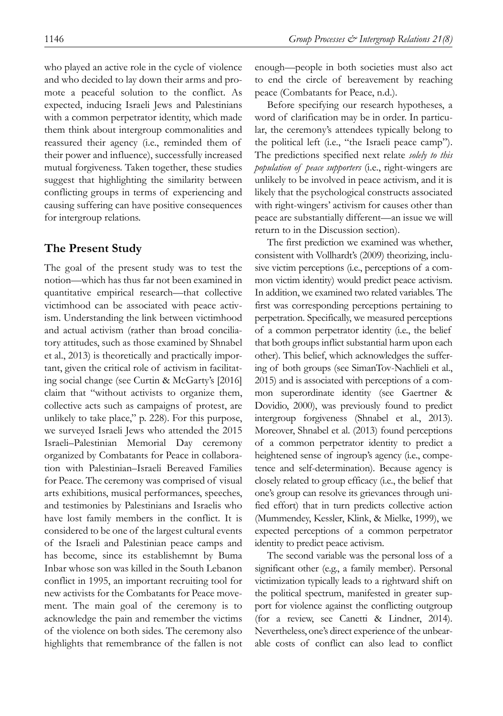who played an active role in the cycle of violence and who decided to lay down their arms and promote a peaceful solution to the conflict. As expected, inducing Israeli Jews and Palestinians with a common perpetrator identity, which made them think about intergroup commonalities and reassured their agency (i.e., reminded them of their power and influence), successfully increased mutual forgiveness. Taken together, these studies suggest that highlighting the similarity between conflicting groups in terms of experiencing and causing suffering can have positive consequences for intergroup relations.

## **The Present Study**

The goal of the present study was to test the notion—which has thus far not been examined in quantitative empirical research—that collective victimhood can be associated with peace activism. Understanding the link between victimhood and actual activism (rather than broad conciliatory attitudes, such as those examined by Shnabel et al., 2013) is theoretically and practically important, given the critical role of activism in facilitating social change (see Curtin & McGarty's [2016] claim that "without activists to organize them, collective acts such as campaigns of protest, are unlikely to take place," p. 228). For this purpose, we surveyed Israeli Jews who attended the 2015 Israeli–Palestinian Memorial Day ceremony organized by Combatants for Peace in collaboration with Palestinian–Israeli Bereaved Families for Peace. The ceremony was comprised of visual arts exhibitions, musical performances, speeches, and testimonies by Palestinians and Israelis who have lost family members in the conflict. It is considered to be one of the largest cultural events of the Israeli and Palestinian peace camps and has become, since its establishemnt by Buma Inbar whose son was killed in the South Lebanon conflict in 1995, an important recruiting tool for new activists for the Combatants for Peace movement. The main goal of the ceremony is to acknowledge the pain and remember the victims of the violence on both sides. The ceremony also highlights that remembrance of the fallen is not

enough—people in both societies must also act to end the circle of bereavement by reaching peace (Combatants for Peace, n.d.).

Before specifying our research hypotheses, a word of clarification may be in order. In particular, the ceremony's attendees typically belong to the political left (i.e., "the Israeli peace camp"). The predictions specified next relate *solely to this population of peace supporters* (i.e., right-wingers are unlikely to be involved in peace activism, and it is likely that the psychological constructs associated with right-wingers' activism for causes other than peace are substantially different—an issue we will return to in the Discussion section).

The first prediction we examined was whether, consistent with Vollhardt's (2009) theorizing, inclusive victim perceptions (i.e., perceptions of a common victim identity) would predict peace activism. In addition, we examined two related variables. The first was corresponding perceptions pertaining to perpetration. Specifically, we measured perceptions of a common perpetrator identity (i.e., the belief that both groups inflict substantial harm upon each other). This belief, which acknowledges the suffering of both groups (see SimanTov-Nachlieli et al., 2015) and is associated with perceptions of a common superordinate identity (see Gaertner & Dovidio, 2000), was previously found to predict intergroup forgiveness (Shnabel et al., 2013). Moreover, Shnabel et al. (2013) found perceptions of a common perpetrator identity to predict a heightened sense of ingroup's agency (i.e., competence and self-determination). Because agency is closely related to group efficacy (i.e., the belief that one's group can resolve its grievances through unified effort) that in turn predicts collective action (Mummendey, Kessler, Klink, & Mielke, 1999), we expected perceptions of a common perpetrator identity to predict peace activism.

The second variable was the personal loss of a significant other (e.g., a family member). Personal victimization typically leads to a rightward shift on the political spectrum, manifested in greater support for violence against the conflicting outgroup (for a review, see Canetti & Lindner, 2014). Nevertheless, one's direct experience of the unbearable costs of conflict can also lead to conflict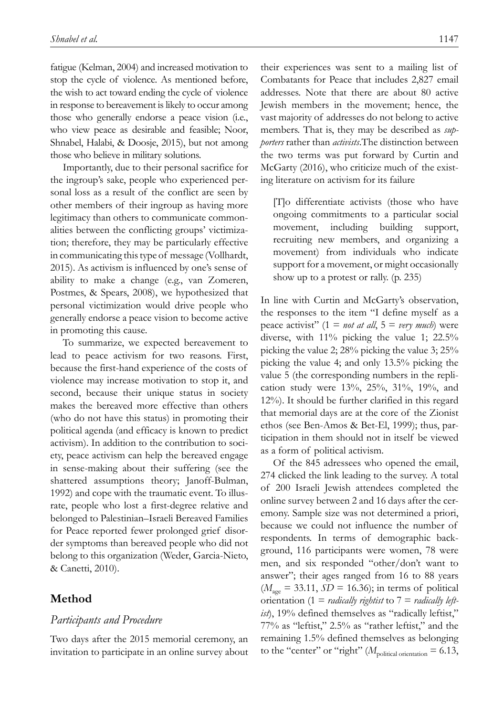fatigue (Kelman, 2004) and increased motivation to stop the cycle of violence. As mentioned before, the wish to act toward ending the cycle of violence in response to bereavement is likely to occur among those who generally endorse a peace vision (i.e., who view peace as desirable and feasible; Noor, Shnabel, Halabi, & Doosje, 2015), but not among those who believe in military solutions.

Importantly, due to their personal sacrifice for the ingroup's sake, people who experienced personal loss as a result of the conflict are seen by other members of their ingroup as having more legitimacy than others to communicate commonalities between the conflicting groups' victimization; therefore, they may be particularly effective in communicating this type of message (Vollhardt, 2015). As activism is influenced by one's sense of ability to make a change (e.g., van Zomeren, Postmes, & Spears, 2008), we hypothesized that personal victimization would drive people who generally endorse a peace vision to become active in promoting this cause.

To summarize, we expected bereavement to lead to peace activism for two reasons. First, because the first-hand experience of the costs of violence may increase motivation to stop it, and second, because their unique status in society makes the bereaved more effective than others (who do not have this status) in promoting their political agenda (and efficacy is known to predict activism). In addition to the contribution to society, peace activism can help the bereaved engage in sense-making about their suffering (see the shattered assumptions theory; Janoff-Bulman, 1992) and cope with the traumatic event. To illusrate, people who lost a first-degree relative and belonged to Palestinian–Israeli Bereaved Families for Peace reported fewer prolonged grief disorder symptoms than bereaved people who did not belong to this organization (Weder, Garcia-Nieto, & Canetti, 2010).

# **Method**

#### *Participants and Procedure*

Two days after the 2015 memorial ceremony, an invitation to participate in an online survey about their experiences was sent to a mailing list of Combatants for Peace that includes 2,827 email addresses. Note that there are about 80 active Jewish members in the movement; hence, the vast majority of addresses do not belong to active members. That is, they may be described as *supporters* rather than *activists*.The distinction between the two terms was put forward by Curtin and McGarty (2016), who criticize much of the existing literature on activism for its failure

[T]o differentiate activists (those who have ongoing commitments to a particular social movement, including building support, recruiting new members, and organizing a movement) from individuals who indicate support for a movement, or might occasionally show up to a protest or rally. (p. 235)

In line with Curtin and McGarty's observation, the responses to the item "I define myself as a peace activist"  $(1 = not at all, 5 = very much)$  were diverse, with 11% picking the value 1; 22.5% picking the value 2; 28% picking the value 3; 25% picking the value 4; and only 13.5% picking the value 5 (the corresponding numbers in the replication study were 13%, 25%, 31%, 19%, and 12%). It should be further clarified in this regard that memorial days are at the core of the Zionist ethos (see Ben-Amos & Bet-El, 1999); thus, participation in them should not in itself be viewed as a form of political activism.

Of the 845 adressees who opened the email, 274 clicked the link leading to the survey. A total of 200 Israeli Jewish attendees completed the online survey between 2 and 16 days after the ceremony. Sample size was not determined a priori, because we could not influence the number of respondents. In terms of demographic background, 116 participants were women, 78 were men, and six responded "other/don't want to answer"; their ages ranged from 16 to 88 years  $(M<sub>age</sub> = 33.11, SD = 16.36)$ ; in terms of political orientation (1 = *radically rightist* to 7 = *radically leftist*), 19% defined themselves as "radically leftist," 77% as "leftist," 2.5% as "rather leftist," and the remaining 1.5% defined themselves as belonging to the "center" or "right" ( $M_{\text{political orientation}} = 6.13$ ,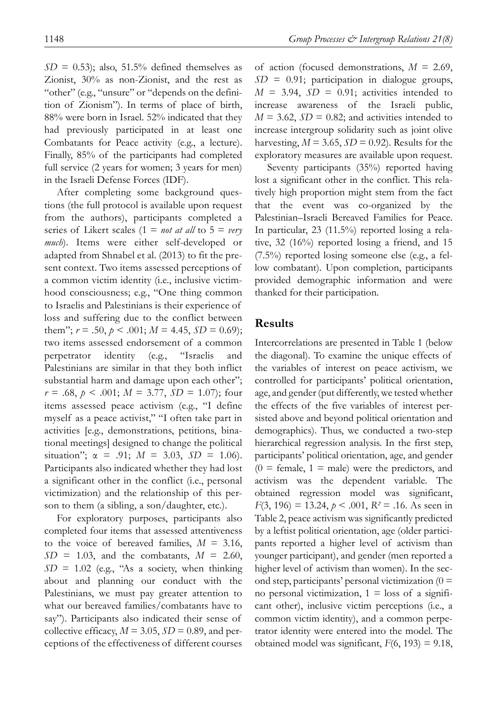$SD = 0.53$ ; also, 51.5% defined themselves as Zionist, 30% as non-Zionist, and the rest as "other" (e.g., "unsure" or "depends on the definition of Zionism"). In terms of place of birth, 88% were born in Israel. 52% indicated that they had previously participated in at least one Combatants for Peace activity (e.g., a lecture). Finally, 85% of the participants had completed full service (2 years for women; 3 years for men) in the Israeli Defense Forces (IDF).

After completing some background questions (the full protocol is available upon request from the authors), participants completed a series of Likert scales (1 = *not at all* to 5 = *very much*). Items were either self-developed or adapted from Shnabel et al. (2013) to fit the present context. Two items assessed perceptions of a common victim identity (i.e., inclusive victimhood consciousness; e.g., "One thing common to Israelis and Palestinians is their experience of loss and suffering due to the conflict between them";  $r = .50$ ,  $p < .001$ ;  $M = 4.45$ ,  $SD = 0.69$ ); two items assessed endorsement of a common perpetrator identity (e.g., "Israelis and Palestinians are similar in that they both inflict substantial harm and damage upon each other";  $r = .68$ ,  $p < .001$ ;  $M = 3.77$ ,  $SD = 1.07$ ); four items assessed peace activism (e.g., "I define myself as a peace activist," "I often take part in activities [e.g., demonstrations, petitions, binational meetings] designed to change the political situation";  $\alpha = .91$ ;  $M = 3.03$ ,  $SD = 1.06$ ). Participants also indicated whether they had lost a significant other in the conflict (i.e., personal victimization) and the relationship of this person to them (a sibling, a son/daughter, etc.).

For exploratory purposes, participants also completed four items that assessed attentiveness to the voice of bereaved families,  $M = 3.16$ ,  $SD = 1.03$ , and the combatants,  $M = 2.60$ ,  $SD = 1.02$  (e.g., "As a society, when thinking about and planning our conduct with the Palestinians, we must pay greater attention to what our bereaved families/combatants have to say"). Participants also indicated their sense of collective efficacy,  $M = 3.05$ ,  $SD = 0.89$ , and perceptions of the effectiveness of different courses

of action (focused demonstrations, *M* = 2.69,  $SD = 0.91$ ; participation in dialogue groups,  $M = 3.94$ ,  $SD = 0.91$ ; activities intended to increase awareness of the Israeli public,  $M = 3.62$ ,  $SD = 0.82$ ; and activities intended to increase intergroup solidarity such as joint olive harvesting,  $M = 3.65$ ,  $SD = 0.92$ ). Results for the exploratory measures are available upon request.

Seventy participants (35%) reported having lost a significant other in the conflict. This relatively high proportion might stem from the fact that the event was co-organized by the Palestinian–Israeli Bereaved Families for Peace. In particular, 23 (11.5%) reported losing a relative, 32 (16%) reported losing a friend, and 15 (7.5%) reported losing someone else (e.g., a fellow combatant). Upon completion, participants provided demographic information and were thanked for their participation.

## **Results**

Intercorrelations are presented in Table 1 (below the diagonal). To examine the unique effects of the variables of interest on peace activism, we controlled for participants' political orientation, age, and gender (put differently, we tested whether the effects of the five variables of interest persisted above and beyond political orientation and demographics). Thus, we conducted a two-step hierarchical regression analysis. In the first step, participants' political orientation, age, and gender  $(0 = \text{female}, 1 = \text{male})$  were the predictors, and activism was the dependent variable. The obtained regression model was significant,  $F(3, 196) = 13.24, p \le .001, R^2 = .16$ . As seen in Table 2, peace activism was significantly predicted by a leftist political orientation, age (older participants reported a higher level of activism than younger participant), and gender (men reported a higher level of activism than women). In the second step, participants' personal victimization  $(0 =$ no personal victimization,  $1 =$  loss of a significant other), inclusive victim perceptions (i.e., a common victim identity), and a common perpetrator identity were entered into the model. The obtained model was significant,  $F(6, 193) = 9.18$ ,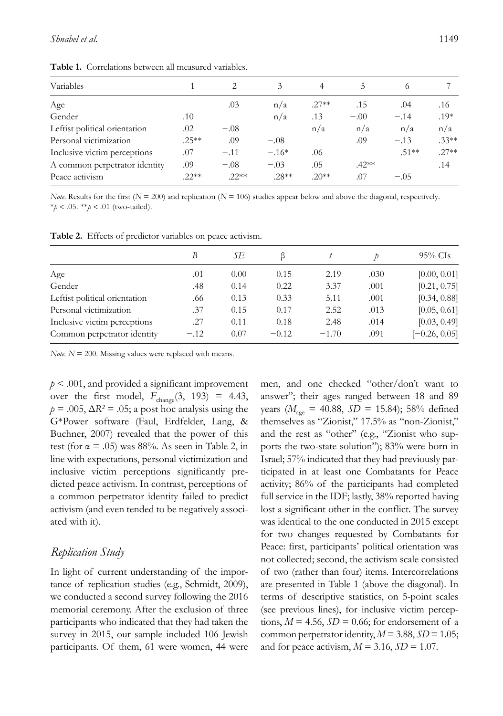| Variables                     |         |         | 3       | 4       | 5       | 6       |         |
|-------------------------------|---------|---------|---------|---------|---------|---------|---------|
| Age                           |         | .03     | n/a     | $.27**$ | .15     | .04     | .16     |
| Gender                        | .10     |         | n/a     | .13     | $-.00$  | $-.14$  | $.19*$  |
| Leftist political orientation | $.02\,$ | $-.08$  |         | n/a     | n/a     | n/a     | n/a     |
| Personal victimization        | $.25**$ | .09     | $-.08$  |         | .09     | $-.13$  | $.33**$ |
| Inclusive victim perceptions  | .07     | $-.11$  | $-.16*$ | .06     |         | $.51**$ | $.27**$ |
| A common perpetrator identity | .09     | $-.08$  | $-.03$  | .05     | $.42**$ |         | .14     |
| Peace activism                | $.22**$ | $.22**$ | $.28**$ | $.20**$ | .07     | $-.05$  |         |

**Table 1.** Correlations between all measured variables.

*Note*. Results for the first ( $N = 200$ ) and replication ( $N = 106$ ) studies appear below and above the diagonal, respectively. \**p* < .05. \*\**p* < .01 (two-tailed).

**Table 2.** Effects of predictor variables on peace activism.

|                               | B      | SE   | ß       |         | D    | $95\%$ CIs      |
|-------------------------------|--------|------|---------|---------|------|-----------------|
| Age                           | .01    | 0.00 | 0.15    | 2.19    | .030 | [0.00, 0.01]    |
| Gender                        | .48    | 0.14 | 0.22    | 3.37    | .001 | [0.21, 0.75]    |
| Leftist political orientation | .66    | 0.13 | 0.33    | 5.11    | .001 | [0.34, 0.88]    |
| Personal victimization        | .37    | 0.15 | 0.17    | 2.52    | .013 | [0.05, 0.61]    |
| Inclusive victim perceptions  | .27    | 0.11 | 0.18    | 2.48    | .014 | [0.03, 0.49]    |
| Common perpetrator identity   | $-.12$ | 0.07 | $-0.12$ | $-1.70$ | .091 | $[-0.26, 0.05]$ |

*Note.*  $N = 200$ . Missing values were replaced with means.

 $p \leq 0.001$ , and provided a significant improvement over the first model,  $F_{change}(3, 193) = 4.43$ ,  $p = .005$ ,  $\Delta R^2 = .05$ ; a post hoc analysis using the G\*Power software (Faul, Erdfelder, Lang, & Buchner, 2007) revealed that the power of this test (for  $\alpha = .05$ ) was 88%. As seen in Table 2, in line with expectations, personal victimization and inclusive victim perceptions significantly predicted peace activism. In contrast, perceptions of a common perpetrator identity failed to predict activism (and even tended to be negatively associated with it).

#### *<sup>R</sup>eplication Study*

In light of current understanding of the importance of replication studies (e.g., Schmidt, 2009), we conducted a second survey following the 2016 memorial ceremony. After the exclusion of three participants who indicated that they had taken the survey in 2015, our sample included 106 Jewish participants. Of them, 61 were women, 44 were men, and one checked "other/don't want to answer"; their ages ranged between 18 and 89 years ( $M_{\text{age}} = 40.88$ ,  $SD = 15.84$ ); 58% defined themselves as "Zionist," 17.5% as "non-Zionist," and the rest as "other" (e.g., "Zionist who supports the two-state solution"); 83% were born in Israel; 57% indicated that they had previously participated in at least one Combatants for Peace activity; 86% of the participants had completed full service in the IDF; lastly, 38% reported having lost a significant other in the conflict. The survey was identical to the one conducted in 2015 except for two changes requested by Combatants for Peace: first, participants' political orientation was not collected; second, the activism scale consisted of two (rather than four) items. Intercorrelations are presented in Table 1 (above the diagonal). In terms of descriptive statistics, on 5-point scales (see previous lines), for inclusive victim perceptions,  $M = 4.56$ ,  $SD = 0.66$ ; for endorsement of a common perpetrator identity,  $M = 3.88$ ,  $SD = 1.05$ ; and for peace activism,  $M = 3.16$ ,  $SD = 1.07$ .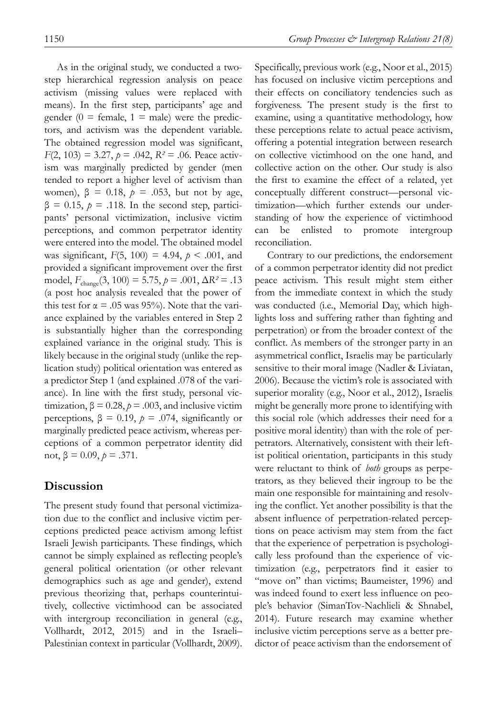As in the original study, we conducted a twostep hierarchical regression analysis on peace activism (missing values were replaced with means). In the first step, participants' age and gender ( $0 =$  female,  $1 =$  male) were the predictors, and activism was the dependent variable. The obtained regression model was significant,  $F(2, 103) = 3.27, p = .042, R^2 = .06$ . Peace activism was marginally predicted by gender (men tended to report a higher level of activism than women),  $\beta = 0.18$ ,  $p = .053$ , but not by age,  $β = 0.15$ ,  $p = .118$ . In the second step, participants' personal victimization, inclusive victim perceptions, and common perpetrator identity were entered into the model. The obtained model was significant,  $F(5, 100) = 4.94$ ,  $p < .001$ , and provided a significant improvement over the first model,  $F_{change}(3, 100) = 5.75$ ,  $p = .001$ ,  $\Delta R^2 = .13$ (a post hoc analysis revealed that the power of this test for  $\alpha = .05$  was 95%). Note that the variance explained by the variables entered in Step 2 is substantially higher than the corresponding explained variance in the original study. This is likely because in the original study (unlike the replication study) political orientation was entered as a predictor Step 1 (and explained .078 of the variance). In line with the first study, personal victimization,  $\beta = 0.28$ ,  $p = .003$ , and inclusive victim perceptions, β = 0.19, *p* = .074, significantly or marginally predicted peace activism, whereas perceptions of a common perpetrator identity did not,  $β = 0.09, p = .371$ .

# **Discussion**

The present study found that personal victimization due to the conflict and inclusive victim perceptions predicted peace activism among leftist Israeli Jewish participants. These findings, which cannot be simply explained as reflecting people's general political orientation (or other relevant demographics such as age and gender), extend previous theorizing that, perhaps counterintuitively, collective victimhood can be associated with intergroup reconciliation in general (e.g., Vollhardt, 2012, 2015) and in the Israeli– Palestinian context in particular (Vollhardt, 2009).

Specifically, previous work (e.g., Noor et al., 2015) has focused on inclusive victim perceptions and their effects on conciliatory tendencies such as forgiveness. The present study is the first to examine, using a quantitative methodology, how these perceptions relate to actual peace activism, offering a potential integration between research on collective victimhood on the one hand, and collective action on the other. Our study is also the first to examine the effect of a related, yet conceptually different construct—personal victimization—which further extends our understanding of how the experience of victimhood can be enlisted to promote intergroup reconciliation.

Contrary to our predictions, the endorsement of a common perpetrator identity did not predict peace activism. This result might stem either from the immediate context in which the study was conducted (i.e., Memorial Day, which highlights loss and suffering rather than fighting and perpetration) or from the broader context of the conflict. As members of the stronger party in an asymmetrical conflict, Israelis may be particularly sensitive to their moral image (Nadler & Liviatan, 2006). Because the victim's role is associated with superior morality (e.g., Noor et al., 2012), Israelis might be generally more prone to identifying with this social role (which addresses their need for a positive moral identity) than with the role of perpetrators. Alternatively, consistent with their leftist political orientation, participants in this study were reluctant to think of *both* groups as perpetrators, as they believed their ingroup to be the main one responsible for maintaining and resolving the conflict. Yet another possibility is that the absent influence of perpetration-related perceptions on peace activism may stem from the fact that the experience of perpetration is psychologically less profound than the experience of victimization (e.g., perpetrators find it easier to "move on" than victims; Baumeister, 1996) and was indeed found to exert less influence on people's behavior (SimanTov-Nachlieli & Shnabel, 2014). Future research may examine whether inclusive victim perceptions serve as a better predictor of peace activism than the endorsement of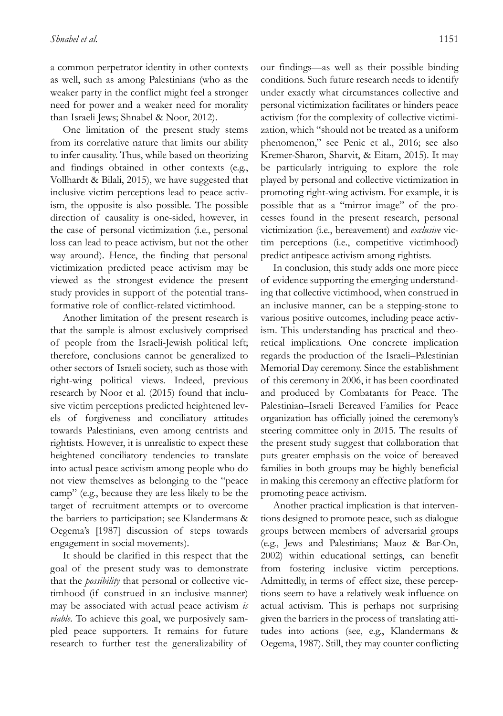a common perpetrator identity in other contexts as well, such as among Palestinians (who as the weaker party in the conflict might feel a stronger need for power and a weaker need for morality than Israeli Jews; Shnabel & Noor, 2012).

One limitation of the present study stems from its correlative nature that limits our ability to infer causality. Thus, while based on theorizing and findings obtained in other contexts (e.g., Vollhardt & Bilali, 2015), we have suggested that inclusive victim perceptions lead to peace activism, the opposite is also possible. The possible direction of causality is one-sided, however, in the case of personal victimization (i.e., personal loss can lead to peace activism, but not the other way around). Hence, the finding that personal victimization predicted peace activism may be viewed as the strongest evidence the present study provides in support of the potential transformative role of conflict-related victimhood.

Another limitation of the present research is that the sample is almost exclusively comprised of people from the Israeli-Jewish political left; therefore, conclusions cannot be generalized to other sectors of Israeli society, such as those with right-wing political views. Indeed, previous research by Noor et al. (2015) found that inclusive victim perceptions predicted heightened levels of forgiveness and conciliatory attitudes towards Palestinians, even among centrists and rightists. However, it is unrealistic to expect these heightened conciliatory tendencies to translate into actual peace activism among people who do not view themselves as belonging to the "peace camp" (e.g., because they are less likely to be the target of recruitment attempts or to overcome the barriers to participation; see Klandermans & Oegema's [1987] discussion of steps towards engagement in social movements).

It should be clarified in this respect that the goal of the present study was to demonstrate that the *possibility* that personal or collective victimhood (if construed in an inclusive manner) may be associated with actual peace activism *is viable*. To achieve this goal, we purposively sampled peace supporters. It remains for future research to further test the generalizability of

our findings—as well as their possible binding conditions. Such future research needs to identify under exactly what circumstances collective and personal victimization facilitates or hinders peace activism (for the complexity of collective victimization, which "should not be treated as a uniform phenomenon," see Penic et al., 2016; see also Kremer-Sharon, Sharvit, & Eitam, 2015). It may be particularly intriguing to explore the role played by personal and collective victimization in promoting right-wing activism. For example, it is possible that as a "mirror image" of the processes found in the present research, personal victimization (i.e., bereavement) and *exclusive* victim perceptions (i.e., competitive victimhood) predict antipeace activism among rightists.

In conclusion, this study adds one more piece of evidence supporting the emerging understanding that collective victimhood, when construed in an inclusive manner, can be a stepping-stone to various positive outcomes, including peace activism. This understanding has practical and theoretical implications. One concrete implication regards the production of the Israeli–Palestinian Memorial Day ceremony. Since the establishment of this ceremony in 2006, it has been coordinated and produced by Combatants for Peace. The Palestinian–Israeli Bereaved Families for Peace organization has officially joined the ceremony's steering committee only in 2015. The results of the present study suggest that collaboration that puts greater emphasis on the voice of bereaved families in both groups may be highly beneficial in making this ceremony an effective platform for promoting peace activism.

Another practical implication is that interventions designed to promote peace, such as dialogue groups between members of adversarial groups (e.g., Jews and Palestinians; Maoz & Bar-On, 2002) within educational settings, can benefit from fostering inclusive victim perceptions. Admittedly, in terms of effect size, these perceptions seem to have a relatively weak influence on actual activism. This is perhaps not surprising given the barriers in the process of translating attitudes into actions (see, e.g., Klandermans & Oegema, 1987). Still, they may counter conflicting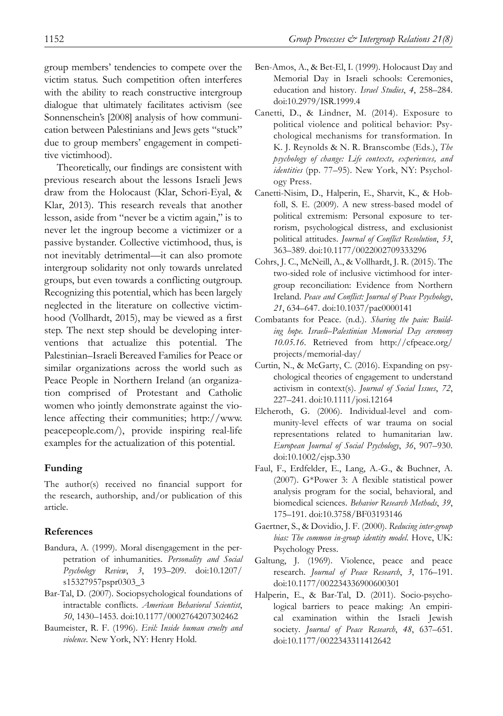group members' tendencies to compete over the victim status. Such competition often interferes with the ability to reach constructive intergroup dialogue that ultimately facilitates activism (see Sonnenschein's [2008] analysis of how communication between Palestinians and Jews gets "stuck" due to group members' engagement in competitive victimhood).

Theoretically, our findings are consistent with previous research about the lessons Israeli Jews draw from the Holocaust (Klar, Schori-Eyal, & Klar, 2013). This research reveals that another lesson, aside from "never be a victim again," is to never let the ingroup become a victimizer or a passive bystander. Collective victimhood, thus, is not inevitably detrimental—it can also promote intergroup solidarity not only towards unrelated groups, but even towards a conflicting outgroup. Recognizing this potential, which has been largely neglected in the literature on collective victimhood (Vollhardt, 2015), may be viewed as a first step. The next step should be developing interventions that actualize this potential. The Palestinian–Israeli Bereaved Families for Peace or similar organizations across the world such as Peace People in Northern Ireland (an organization comprised of Protestant and Catholic women who jointly demonstrate against the violence affecting their communities; [http://www.](http://www.peacepeople.com/) [peacepeople.com/](http://www.peacepeople.com/)), provide inspiring real-life examples for the actualization of this potential.

#### **Funding**

The author(s) received no financial support for the research, authorship, and/or publication of this article.

#### **References**

- Bandura, A. (1999). Moral disengagement in the perpetration of inhumanities. *Personality and Social Psychology Review*, *3*, 193–209. doi:10.1207/ s15327957pspr0303\_3
- Bar-Tal, D. (2007). Sociopsychological foundations of intractable conflicts. *American Behavioral Scientist*, *50*, 1430–1453. doi:10.1177/0002764207302462
- Baumeister, R. F. (1996). *Evil: Inside human cruelty and violence*. New York, NY: Henry Hold.
- Ben-Amos, A., & Bet-El, I. (1999). Holocaust Day and Memorial Day in Israeli schools: Ceremonies, education and history. *Israel Studies*, *4*, 258–284. doi:10.2979/ISR.1999.4
- Canetti, D., & Lindner, M. (2014). Exposure to political violence and political behavior: Psychological mechanisms for transformation. In K. J. Reynolds & N. R. Branscombe (Eds.), *The psychology of change: Life contexts, experiences, and identities* (pp. 77–95). New York, NY: Psychology Press.
- Canetti-Nisim, D., Halperin, E., Sharvit, K., & Hobfoll, S. E. (2009). A new stress-based model of political extremism: Personal exposure to terrorism, psychological distress, and exclusionist political attitudes. *Journal of Conflict Resolution*, *53*, 363–389. doi:10.1177/0022002709333296
- Cohrs, J. C., McNeill, A., & Vollhardt, J. R. (2015). The two-sided role of inclusive victimhood for intergroup reconciliation: Evidence from Northern Ireland. *Peace and Conflict: Journal of Peace Psychology*, *21*, 634–647. doi:10.1037/pac0000141
- Combatants for Peace. (n.d.). *Sharing the pain: Building hope. Israeli–Palestinian Memorial Day ceremony 10.05.16*. Retrieved from [http://cfpeace.org/](http://cfpeace.org/projects/memorial-day/) [projects/memorial-day/](http://cfpeace.org/projects/memorial-day/)
- Curtin, N., & McGarty, C. (2016). Expanding on psychological theories of engagement to understand activism in context(s). *Journal of Social Issues*, *72*, 227–241. doi:10.1111/josi.12164
- Elcheroth, G. (2006). Individual-level and community-level effects of war trauma on social representations related to humanitarian law. *European Journal of Social Psychology*, *36*, 907–930. doi:10.1002/ejsp.330
- Faul, F., Erdfelder, E., Lang, A.-G., & Buchner, A. (2007). G\*Power 3: A flexible statistical power analysis program for the social, behavioral, and biomedical sciences. *Behavior Research Methods*, *39*, 175–191. doi:10.3758/BF03193146
- Gaertner, S., & Dovidio, J. F. (2000). *Reducing inter-group bias: The common in-group identity model*. Hove, UK: Psychology Press.
- Galtung, J. (1969). Violence, peace and peace research. *Journal of Peace Research*, *3*, 176–191. doi:10.1177/002234336900600301
- Halperin, E., & Bar-Tal, D. (2011). Socio-psychological barriers to peace making: An empirical examination within the Israeli Jewish society. *Journal of Peace Research*, *48*, 637–651. doi:10.1177/0022343311412642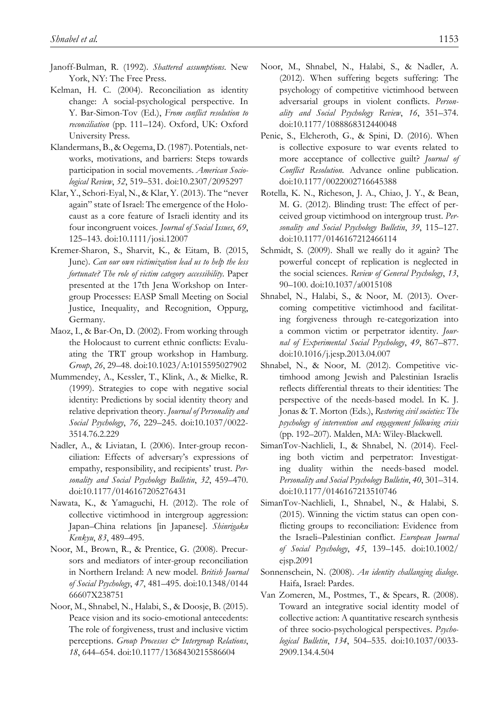- Janoff-Bulman, R. (1992). *Shattered assumptions*. New York, NY: The Free Press.
- Kelman, H. C. (2004). Reconciliation as identity change: A social-psychological perspective. In Y. Bar-Simon-Tov (Ed.), *From conflict resolution to reconciliation* (pp. 111–124). Oxford, UK: Oxford University Press.
- Klandermans, B., & Oegema, D. (1987). Potentials, networks, motivations, and barriers: Steps towards participation in social movements. *American Sociological Review*, *52*, 519–531. doi:10.2307/2095297
- Klar, Y., Schori-Eyal, N., & Klar, Y. (2013). The "never again" state of Israel: The emergence of the Holocaust as a core feature of Israeli identity and its four incongruent voices. *Journal of Social Issues*, *69*, 125–143. doi:10.1111/josi.12007
- Kremer-Sharon, S., Sharvit, K., & Eitam, B. (2015, June). *Can our own victimization lead us to help the less fortunate? The role of victim category accessibility*. Paper presented at the 17th Jena Workshop on Intergroup Processes: EASP Small Meeting on Social Justice, Inequality, and Recognition, Oppurg, Germany.
- Maoz, I., & Bar-On, D. (2002). From working through the Holocaust to current ethnic conflicts: Evaluating the TRT group workshop in Hamburg. *Group*, *26*, 29–48. doi:10.1023/A:1015595027902
- Mummendey, A., Kessler, T., Klink, A., & Mielke, R. (1999). Strategies to cope with negative social identity: Predictions by social identity theory and relative deprivation theory. *Journal of Personality and Social Psychology*, *76*, 229–245. doi:10.1037/0022- 3514.76.2.229
- Nadler, A., & Liviatan, I. (2006). Inter-group reconciliation: Effects of adversary's expressions of empathy, responsibility, and recipients' trust. *Personality and Social Psychology Bulletin*, *32*, 459–470. doi:10.1177/0146167205276431
- Nawata, K., & Yamaguchi, H. (2012). The role of collective victimhood in intergroup aggression: Japan–China relations [in Japanese]. *Shinrigaku Kenkyu*, *83*, 489–495.
- Noor, M., Brown, R., & Prentice, G. (2008). Precursors and mediators of inter-group reconciliation in Northern Ireland: A new model. *British Journal of Social Psychology*, *47*, 481–495. doi:10.1348/0144 66607X238751
- Noor, M., Shnabel, N., Halabi, S., & Doosje, B. (2015). Peace vision and its socio-emotional antecedents: The role of forgiveness, trust and inclusive victim perceptions. *Group Processes & Intergroup Relations*, *18*, 644–654. doi:10.1177/1368430215586604
- Noor, M., Shnabel, N., Halabi, S., & Nadler, A. (2012). When suffering begets suffering: The psychology of competitive victimhood between adversarial groups in violent conflicts. *Personality and Social Psychology Review*, *16*, 351–374. doi:10.1177/1088868312440048
- Penic, S., Elcheroth, G., & Spini, D. (2016). When is collective exposure to war events related to more acceptance of collective guilt? *Journal of Conflict Resolution*. Advance online publication. doi:10.1177/0022002716645388
- Rotella, K. N., Richeson, J. A., Chiao, J. Y., & Bean, M. G. (2012). Blinding trust: The effect of perceived group victimhood on intergroup trust. *Personality and Social Psychology Bulletin*, *39*, 115–127. doi:10.1177/0146167212466114
- Schmidt, S. (2009). Shall we really do it again? The powerful concept of replication is neglected in the social sciences. *Review of General Psychology*, *13*, 90–100. doi:10.1037/a0015108
- Shnabel, N., Halabi, S., & Noor, M. (2013). Overcoming competitive victimhood and facilitating forgiveness through re-categorization into a common victim or perpetrator identity. *Journal of Experimental Social Psychology*, *49*, 867–877. doi:10.1016/j.jesp.2013.04.007
- Shnabel, N., & Noor, M. (2012). Competitive victimhood among Jewish and Palestinian Israelis reflects differential threats to their identities: The perspective of the needs-based model. In K. J. Jonas & T. Morton (Eds.), *Restoring civil societies: The psychology of intervention and engagement following crisis* (pp. 192–207). Malden, MA: Wiley-Blackwell.
- SimanTov-Nachlieli, I., & Shnabel, N. (2014). Feeling both victim and perpetrator: Investigating duality within the needs-based model. *Personality and Social Psychology Bulletin*, *40*, 301–314. doi:10.1177/0146167213510746
- SimanTov-Nachlieli, I., Shnabel, N., & Halabi, S. (2015). Winning the victim status can open conflicting groups to reconciliation: Evidence from the Israeli–Palestinian conflict. *European Journal of Social Psychology*, *45*, 139–145. doi:10.1002/ ejsp.2091
- Sonnenschein, N. (2008). *An identity challanging dialoge*. Haifa, Israel: Pardes.
- Van Zomeren, M., Postmes, T., & Spears, R. (2008). Toward an integrative social identity model of collective action: A quantitative research synthesis of three socio-psychological perspectives. *Psychological Bulletin*, *134*, 504–535. doi:10.1037/0033- 2909.134.4.504